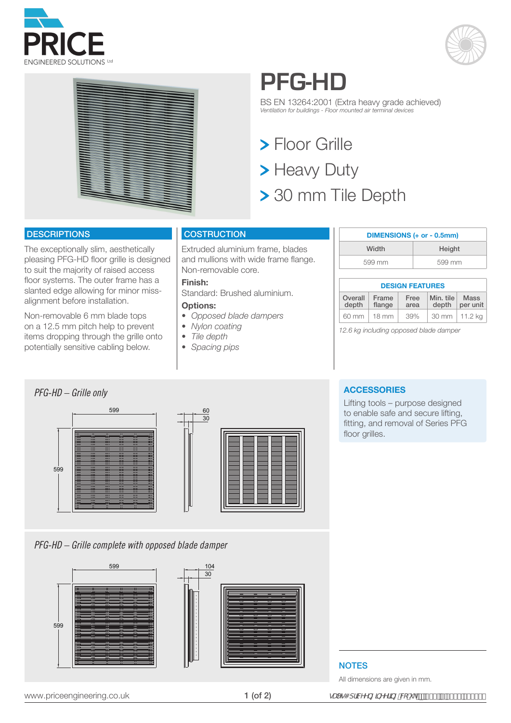





## **PFG-HD**

BS EN 13264:2001 (Extra heavy grade achieved) *Ventilation for buildings - Floor mounted air terminal devices*

**> Floor Grille** > Heavy Duty > 30 mm Tile Depth

### **DESCRIPTIONS**

The exceptionally slim, aesthetically pleasing PFG-HD floor grille is designed to suit the majority of raised access floor systems. The outer frame has a slanted edge allowing for minor missalignment before installation.

Non-removable 6 mm blade tops on a 12.5 mm pitch help to prevent items dropping through the grille onto potentially sensitive cabling below.

### **COSTRUCTION**

Extruded aluminium frame, blades and mullions with wide frame flange. Non-removable core.

### **Finish:**

Standard: Brushed aluminium.

### **Options:**

- *• Opposed blade dampers*
- *• Nylon coating*
- *• Tile depth*
- *• Spacing pips*

| DIMENSIONS (+ or - 0.5mm) |        |  |
|---------------------------|--------|--|
| Width                     | Height |  |
| 599 mm                    | 599 mm |  |

#### **DESIGN FEATURES** Overall depth Frame flange Free area Min. tile depth Mass per unit 60 mm 18 mm 39% 30 mm 11.2 kg

*12.6 kg including opposed blade damper*



*PFG-HD – Grille complete with opposed blade damper*





### **ACCESSORIES**

Lifting tools – purpose designed to enable safe and secure lifting, fitting, and removal of Series PFG floor grilles.

### **NOTES**

All dimensions are given in mm.